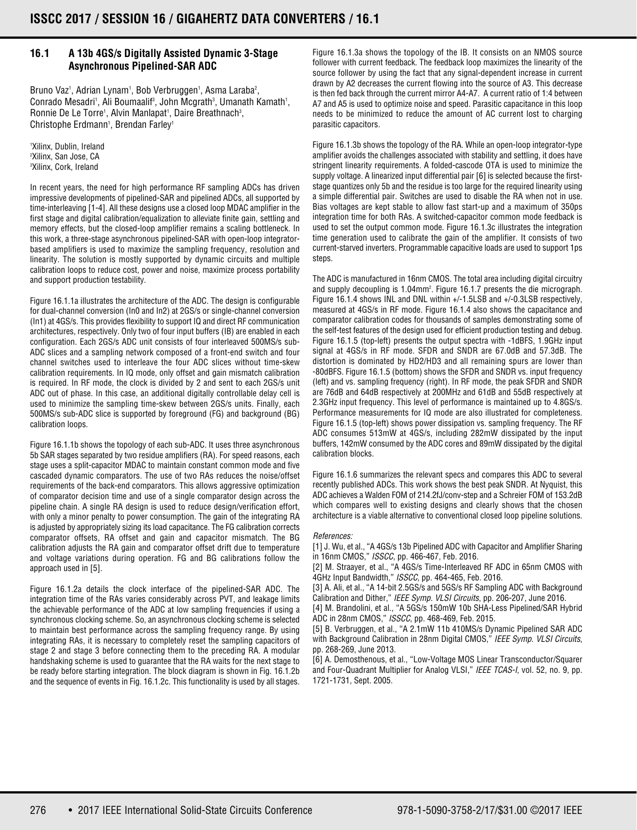## **16.1 A 13b 4GS/s Digitally Assisted Dynamic 3-Stage Asynchronous Pipelined-SAR ADC**

Bruno Vaz<sup>1</sup>, Adrian Lynam<sup>1</sup>, Bob Verbruggen<sup>1</sup>, Asma Laraba<sup>2</sup>, Conrado Mesadri<sup>1</sup>, Ali Boumaalif<sup>3</sup>, John Mcgrath<sup>3</sup>, Umanath Kamath<sup>1</sup>, Ronnie De Le Torre<sup>1</sup>, Alvin Manlapat<sup>1</sup>, Daire Breathnach<sup>3</sup>, Christophe Erdmann<sup>1</sup>, Brendan Farley<sup>1</sup>

1 Xilinx, Dublin, Ireland 2 Xilinx, San Jose, CA 3 Xilinx, Cork, Ireland

In recent years, the need for high performance RF sampling ADCs has driven impressive developments of pipelined-SAR and pipelined ADCs, all supported by time-interleaving [1-4]. All these designs use a closed loop MDAC amplifier in the first stage and digital calibration/equalization to alleviate finite gain, settling and memory effects, but the closed-loop amplifier remains a scaling bottleneck. In this work, a three-stage asynchronous pipelined-SAR with open-loop integratorbased amplifiers is used to maximize the sampling frequency, resolution and linearity. The solution is mostly supported by dynamic circuits and multiple calibration loops to reduce cost, power and noise, maximize process portability and support production testability.

Figure 16.1.1a illustrates the architecture of the ADC. The design is configurable for dual-channel conversion (In0 and In2) at 2GS/s or single-channel conversion (In1) at 4GS/s. This provides flexibility to support IQ and direct RF communication architectures, respectively. Only two of four input buffers (IB) are enabled in each configuration. Each 2GS/s ADC unit consists of four interleaved 500MS/s sub-ADC slices and a sampling network composed of a front-end switch and four channel switches used to interleave the four ADC slices without time-skew calibration requirements. In IQ mode, only offset and gain mismatch calibration is required. In RF mode, the clock is divided by 2 and sent to each 2GS/s unit ADC out of phase. In this case, an additional digitally controllable delay cell is used to minimize the sampling time-skew between 2GS/s units. Finally, each 500MS/s sub-ADC slice is supported by foreground (FG) and background (BG) calibration loops.

Figure 16.1.1b shows the topology of each sub-ADC. It uses three asynchronous 5b SAR stages separated by two residue amplifiers (RA). For speed reasons, each stage uses a split-capacitor MDAC to maintain constant common mode and five cascaded dynamic comparators. The use of two RAs reduces the noise/offset requirements of the back-end comparators. This allows aggressive optimization of comparator decision time and use of a single comparator design across the pipeline chain. A single RA design is used to reduce design/verification effort, with only a minor penalty to power consumption. The gain of the integrating RA is adjusted by appropriately sizing its load capacitance. The FG calibration corrects comparator offsets, RA offset and gain and capacitor mismatch. The BG calibration adjusts the RA gain and comparator offset drift due to temperature and voltage variations during operation. FG and BG calibrations follow the approach used in [5].

Figure 16.1.2a details the clock interface of the pipelined-SAR ADC. The integration time of the RAs varies considerably across PVT, and leakage limits the achievable performance of the ADC at low sampling frequencies if using a synchronous clocking scheme. So, an asynchronous clocking scheme is selected to maintain best performance across the sampling frequency range. By using integrating RAs, it is necessary to completely reset the sampling capacitors of stage 2 and stage 3 before connecting them to the preceding RA. A modular handshaking scheme is used to guarantee that the RA waits for the next stage to be ready before starting integration. The block diagram is shown in Fig. 16.1.2b and the sequence of events in Fig. 16.1.2c. This functionality is used by all stages.

Figure 16.1.3a shows the topology of the IB. It consists on an NMOS source follower with current feedback. The feedback loop maximizes the linearity of the source follower by using the fact that any signal-dependent increase in current drawn by A2 decreases the current flowing into the source of A3. This decrease is then fed back through the current mirror A4-A7. A current ratio of 1:4 between A7 and A5 is used to optimize noise and speed. Parasitic capacitance in this loop needs to be minimized to reduce the amount of AC current lost to charging parasitic capacitors.

Figure 16.1.3b shows the topology of the RA. While an open-loop integrator-type amplifier avoids the challenges associated with stability and settling, it does have stringent linearity requirements. A folded-cascode OTA is used to minimize the supply voltage. A linearized input differential pair [6] is selected because the firststage quantizes only 5b and the residue is too large for the required linearity using a simple differential pair. Switches are used to disable the RA when not in use. Bias voltages are kept stable to allow fast start-up and a maximum of 350ps integration time for both RAs. A switched-capacitor common mode feedback is used to set the output common mode. Figure 16.1.3c illustrates the integration time generation used to calibrate the gain of the amplifier. It consists of two current-starved inverters. Programmable capacitive loads are used to support 1ps steps.

The ADC is manufactured in 16nm CMOS. The total area including digital circuitry and supply decoupling is 1.04mm<sup>2</sup>. Figure 16.1.7 presents the die micrograph. Figure 16.1.4 shows INL and DNL within +/-1.5LSB and +/-0.3LSB respectively, measured at 4GS/s in RF mode. Figure 16.1.4 also shows the capacitance and comparator calibration codes for thousands of samples demonstrating some of the self-test features of the design used for efficient production testing and debug. Figure 16.1.5 (top-left) presents the output spectra with -1dBFS, 1.9GHz input signal at 4GS/s in RF mode. SFDR and SNDR are 67.0dB and 57.3dB. The distortion is dominated by HD2/HD3 and all remaining spurs are lower than -80dBFS. Figure 16.1.5 (bottom) shows the SFDR and SNDR vs. input frequency (left) and vs. sampling frequency (right). In RF mode, the peak SFDR and SNDR are 76dB and 64dB respectively at 200MHz and 61dB and 55dB respectively at 2.3GHz input frequency. This level of performance is maintained up to 4.8GS/s. Performance measurements for IQ mode are also illustrated for completeness. Figure 16.1.5 (top-left) shows power dissipation vs. sampling frequency. The RF ADC consumes 513mW at 4GS/s, including 282mW dissipated by the input buffers, 142mW consumed by the ADC cores and 89mW dissipated by the digital calibration blocks.

Figure 16.1.6 summarizes the relevant specs and compares this ADC to several recently published ADCs. This work shows the best peak SNDR. At Nyquist, this ADC achieves a Walden FOM of 214.2fJ/conv-step and a Schreier FOM of 153.2dB which compares well to existing designs and clearly shows that the chosen architecture is a viable alternative to conventional closed loop pipeline solutions.

### *References:*

[1] J. Wu, et al., "A 4GS/s 13b Pipelined ADC with Capacitor and Amplifier Sharing in 16nm CMOS," *ISSCC*, pp. 466-467, Feb. 2016.

[2] M. Straayer, et al., "A 4GS/s Time-Interleaved RF ADC in 65nm CMOS with 4GHz Input Bandwidth," *ISSCC*, pp. 464-465, Feb. 2016.

[3] A. Ali, et al., "A 14-bit 2.5GS/s and 5GS/s RF Sampling ADC with Background Calibration and Dither," *IEEE Symp. VLSI Circuits*, pp. 206-207, June 2016.

[4] M. Brandolini, et al., "A 5GS/s 150mW 10b SHA-Less Pipelined/SAR Hybrid ADC in 28nm CMOS," *ISSCC*, pp. 468-469, Feb. 2015.

[5] B. Verbruggen, et al., "A 2.1mW 11b 410MS/s Dynamic Pipelined SAR ADC with Background Calibration in 28nm Digital CMOS," *IEEE Symp. VLSI Circuits*, pp. 268-269, June 2013.

[6] A. Demosthenous, et al., "Low-Voltage MOS Linear Transconductor/Squarer and Four-Quadrant Multiplier for Analog VLSI," *IEEE TCAS-I,* vol. 52, no. 9, pp. 1721-1731, Sept. 2005.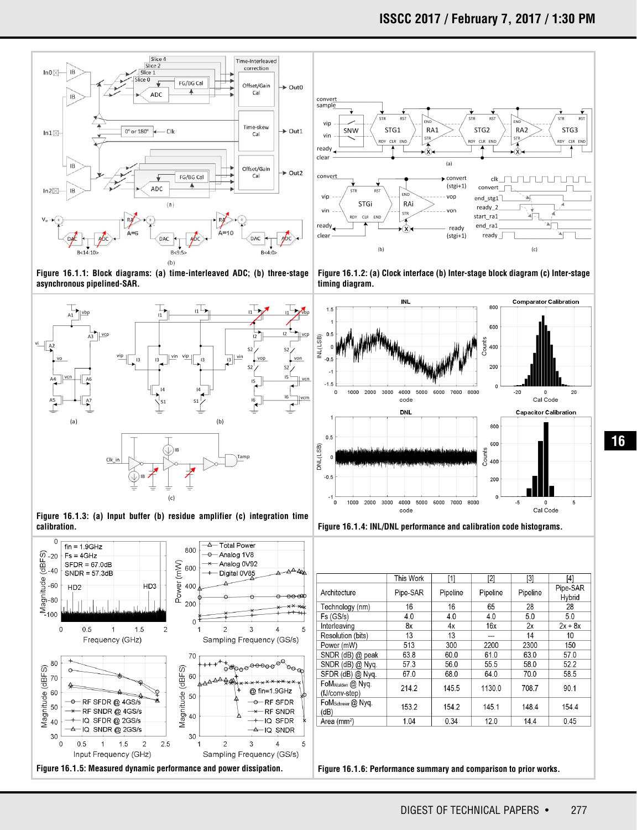



 $4x$ 

13

300

60.0

 $56.0$ 

68.0

145.5

154.2

 $0.34$ 

 $16x$ 

2200

61.0

 $55.5$ 

64.0

1130.0

145.1

 $12.0$ 

 $2x$ 

 $14$ 

2300

63.0

 $58.0$ 

70.0

708.7

148.4

 $14.4$ 

 $2x + 8x$ 

 $10$ 

150

57.0

 $52.2$ 

58.5

90.1

154.4

 $0.45$ 

 $8x$ 

13

513

63.8

 $57.3$ 

67.0

214.2

153.2

 $1.04$ 

Resolution (bits)

SNDR (dB) @ peak

SNDR (dB) @ Nyq.

SFDR (dB) @ Nyq

FoMwalden @ Nyq.

FoM<sub>Schreier</sub> @ Nyq

(fJ/conv-step)

Area (mm<sup>2</sup>)

 $(dB)$ 

Power (mW)

**16**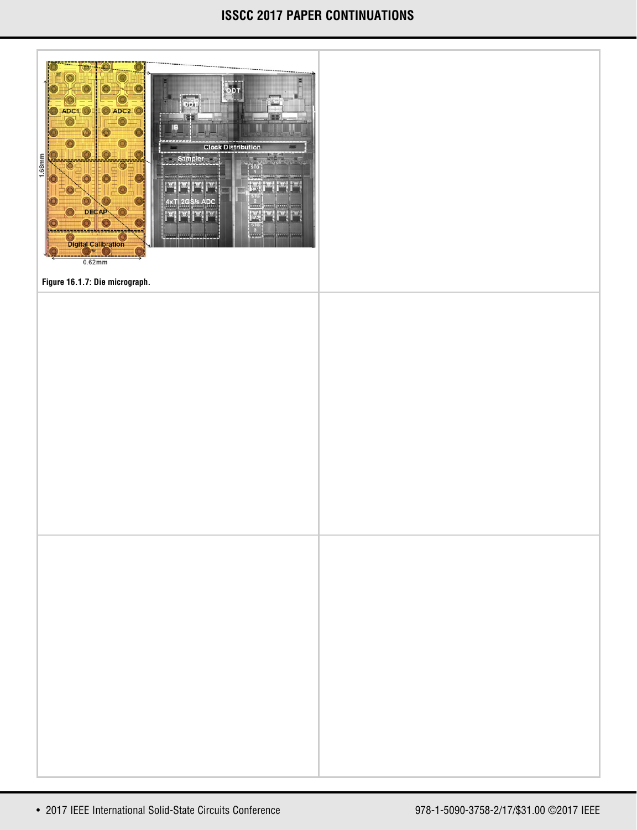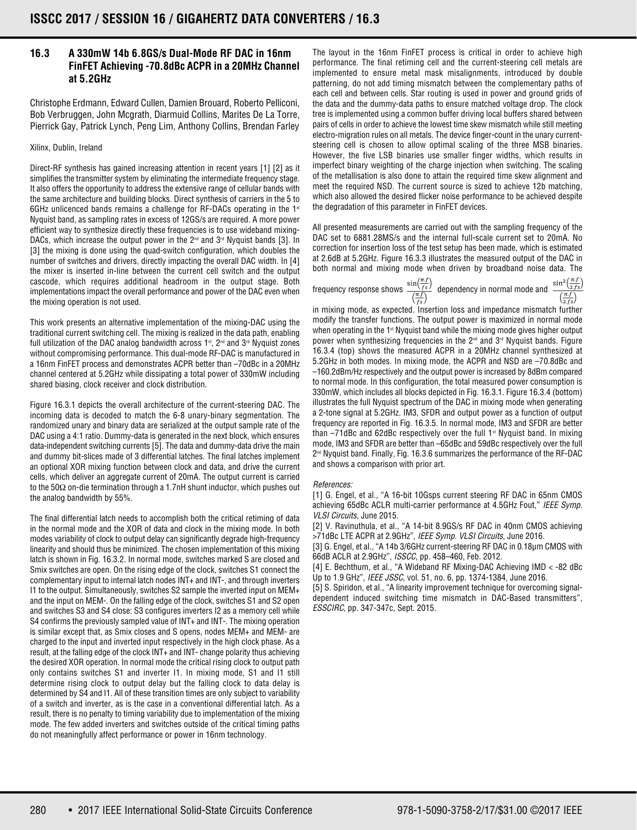# **16.3 A 330mW 14b 6.8GS/s Dual-Mode RF DAC in 16nm FinFET Achieving -70.8dBc ACPR in a 20MHz Channel at 5.2GHz**

Christophe Erdmann, Edward Cullen, Damien Brouard, Roberto Pelliconi, Bob Verbruggen, John Mcgrath, Diarmuid Collins, Marites De La Torre, Pierrick Gay, Patrick Lynch, Peng Lim, Anthony Collins, Brendan Farley

## Xilinx, Dublin, Ireland

Direct-RF synthesis has gained increasing attention in recent years [1] [2] as it simplifies the transmitter system by eliminating the intermediate frequency stage. It also offers the opportunity to address the extensive range of cellular bands with the same architecture and building blocks. Direct synthesis of carriers in the 5 to 6GHz unlicenced bands remains a challenge for RF-DACs operating in the  $1<sup>st</sup>$ Nyquist band, as sampling rates in excess of 12GS/s are required. A more power efficient way to synthesize directly these frequencies is to use wideband mixing-DACs, which increase the output power in the  $2^{nd}$  and  $3^{rd}$  Nyquist bands [3]. In [3] the mixing is done using the quad-switch configuration, which doubles the number of switches and drivers, directly impacting the overall DAC width. In [4] the mixer is inserted in-line between the current cell switch and the output cascode, which requires additional headroom in the output stage. Both implementations impact the overall performance and power of the DAC even when the mixing operation is not used.

This work presents an alternative implementation of the mixing-DAC using the traditional current switching cell. The mixing is realized in the data path, enabling full utilization of the DAC analog bandwidth across  $1<sup>st</sup>$ ,  $2<sup>nd</sup>$  and  $3<sup>rd</sup>$  Nyquist zones without compromising performance. This dual-mode RF-DAC is manufactured in a 16nm FinFET process and demonstrates ACPR better than –70dBc in a 20MHz channel centered at 5.2GHz while dissipating a total power of 330mW including shared biasing, clock receiver and clock distribution.

Figure 16.3.1 depicts the overall architecture of the current-steering DAC. The incoming data is decoded to match the 6-8 unary-binary segmentation. The randomized unary and binary data are serialized at the output sample rate of the DAC using a 4:1 ratio. Dummy-data is generated in the next block, which ensures data-independent switching currents [5]. The data and dummy-data drive the main and dummy bit-slices made of 3 differential latches. The final latches implement an optional XOR mixing function between clock and data, and drive the current cells, which deliver an aggregate current of 20mA. The output current is carried to the 50Ω on-die termination through a 1.7nH shunt inductor, which pushes out the analog bandwidth by 55%.

The final differential latch needs to accomplish both the critical retiming of data in the normal mode and the XOR of data and clock in the mixing mode. In both modes variability of clock to output delay can significantly degrade high-frequency linearity and should thus be minimized. The chosen implementation of this mixing latch is shown in Fig. 16.3.2. In normal mode, switches marked S are closed and Smix switches are open. On the rising edge of the clock, switches S1 connect the complementary input to internal latch nodes INT+ and INT-, and through inverters I1 to the output. Simultaneously, switches S2 sample the inverted input on MEM+ and the input on MEM-. On the falling edge of the clock, switches S1 and S2 open and switches S3 and S4 close: S3 configures inverters I2 as a memory cell while S4 confirms the previously sampled value of INT+ and INT-. The mixing operation is similar except that, as Smix closes and S opens, nodes MEM+ and MEM- are charged to the input and inverted input respectively in the high clock phase. As a result, at the falling edge of the clock INT+ and INT- change polarity thus achieving the desired XOR operation. In normal mode the critical rising clock to output path only contains switches S1 and inverter I1. In mixing mode, S1 and I1 still determine rising clock to output delay but the falling clock to data delay is determined by S4 and I1. All of these transition times are only subject to variability of a switch and inverter, as is the case in a conventional differential latch. As a result, there is no penalty to timing variability due to implementation of the mixing mode. The few added inverters and switches outside of the critical timing paths do not meaningfully affect performance or power in 16nm technology.

The layout in the 16nm FinFET process is critical in order to achieve high performance. The final retiming cell and the current-steering cell metals are implemented to ensure metal mask misalignments, introduced by double patterning, do not add timing mismatch between the complementary paths of each cell and between cells. Star routing is used in power and ground grids of the data and the dummy-data paths to ensure matched voltage drop. The clock tree is implemented using a common buffer driving local buffers shared between pairs of cells in order to achieve the lowest time skew mismatch while still meeting electro-migration rules on all metals. The device finger-count in the unary currentsteering cell is chosen to allow optimal scaling of the three MSB binaries. However, the five LSB binaries use smaller finger widths, which results in imperfect binary weighting of the charge injection when switching. The scaling of the metallisation is also done to attain the required time skew alignment and meet the required NSD. The current source is sized to achieve 12b matching, which also allowed the desired flicker noise performance to be achieved despite the degradation of this parameter in FinFET devices.

All presented measurements are carried out with the sampling frequency of the DAC set to 6881.28MS/s and the internal full-scale current set to 20mA. No correction for insertion loss of the test setup has been made, which is estimated at 2.6dB at 5.2GHz. Figure 16.3.3 illustrates the measured output of the DAC in both normal and mixing mode when driven by broadband noise data. The

frequency response shows  $\frac{\sin(\frac{\pi f}{f s})}{(\frac{\pi f}{f s})}$  dependency in normal mode and  $\frac{\sin^2(\frac{\pi f}{2f s})}{(\frac{\pi f}{2f s})}$ 

in mixing mode, as expected. Insertion loss and impedance mismatch further modify the transfer functions. The output power is maximized in normal mode when operating in the  $1<sup>st</sup>$  Nyquist band while the mixing mode gives higher output power when synthesizing frequencies in the 2<sup>nd</sup> and 3<sup>rd</sup> Nyquist bands. Figure 16.3.4 (top) shows the measured ACPR in a 20MHz channel synthesized at 5.2GHz in both modes. In mixing mode, the ACPR and NSD are –70.8dBc and –160.2dBm/Hz respectively and the output power is increased by 8dBm compared to normal mode. In this configuration, the total measured power consumption is 330mW, which includes all blocks depicted in Fig. 16.3.1. Figure 16.3.4 (bottom) illustrates the full Nyquist spectrum of the DAC in mixing mode when generating a 2-tone signal at 5.2GHz. IM3, SFDR and output power as a function of output frequency are reported in Fig. 16.3.5. In normal mode, IM3 and SFDR are better than  $-71$ dBc and 62dBc respectively over the full  $1$ <sup>st</sup> Nyquist band. In mixing mode, IM3 and SFDR are better than –65dBc and 59dBc respectively over the full 2<sup>nd</sup> Nyquist band. Finally, Fig. 16.3.6 summarizes the performance of the RF-DAC and shows a comparison with prior art.

### *References:*

[1] G. Engel, et al., "A 16-bit 10Gsps current steering RF DAC in 65nm CMOS achieving 65dBc ACLR multi-carrier performance at 4.5GHz Fout," *IEEE Symp. VLSI Circuits*, June 2015.

[2] V. Ravinuthula, et al., "A 14-bit 8.9GS/s RF DAC in 40nm CMOS achieving >71dBc LTE ACPR at 2.9GHz", *IEEE Symp. VLSI Circuits*, June 2016.

[3] G. Engel, et al., "A 14b 3/6GHz current-steering RF DAC in 0.18μm CMOS with 66dB ACLR at 2.9GHz", *ISSCC*, pp. 458–460, Feb. 2012.

[4] E. Bechthum, et al., "A Wideband RF Mixing-DAC Achieving IMD < -82 dBc Up to 1.9 GHz", *IEEE JSSC*, vol. 51, no. 6, pp. 1374-1384, June 2016.

[5] S. Spiridon, et al., "A linearity improvement technique for overcoming signaldependent induced switching time mismatch in DAC-Based transmitters", *ESSCIRC*, pp. 347-347c, Sept. 2015.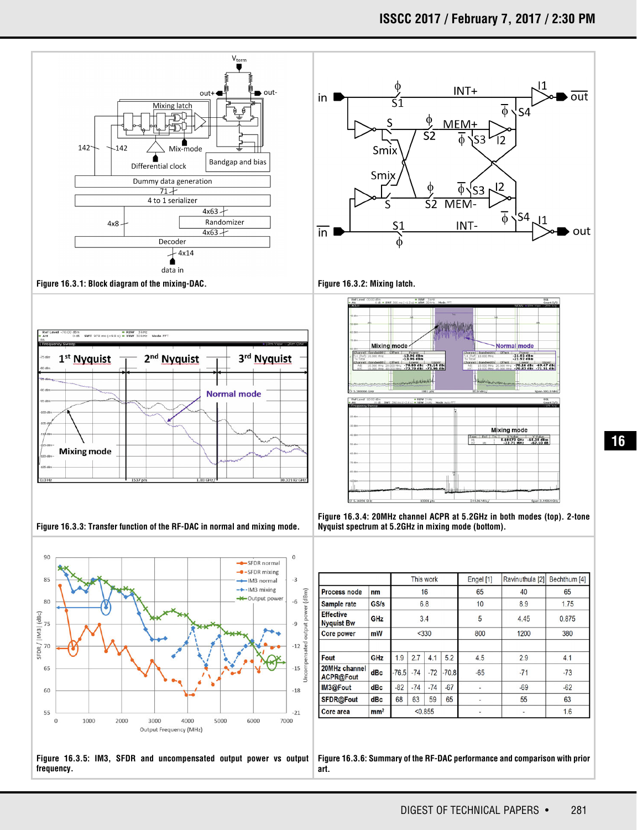# **ISSCC 2017 / February 7, 2017 / 2:30 PM**